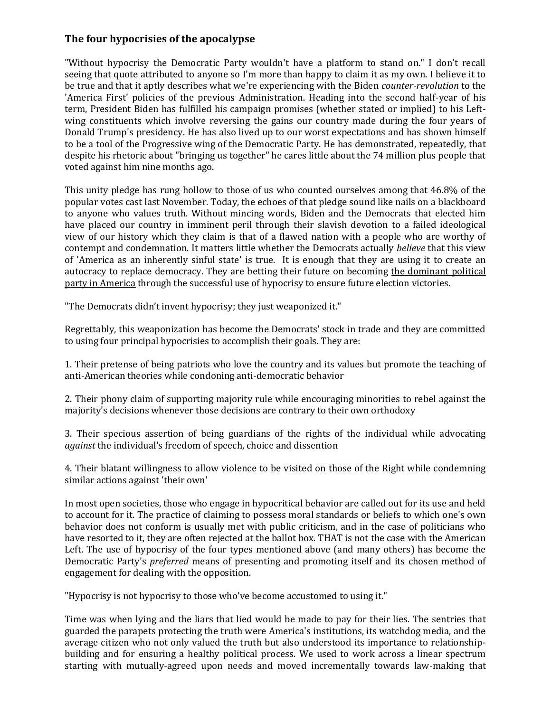## **The four hypocrisies of the apocalypse**

"Without hypocrisy the Democratic Party wouldn't have a platform to stand on." I don't recall seeing that quote attributed to anyone so I'm more than happy to claim it as my own. I believe it to be true and that it aptly describes what we're experiencing with the Biden *counter-revolution* to the 'America First' policies of the previous Administration. Heading into the second half-year of his term, President Biden has fulfilled his campaign promises (whether stated or implied) to his Leftwing constituents which involve reversing the gains our country made during the four years of Donald Trump's presidency. He has also lived up to our worst expectations and has shown himself to be a tool of the Progressive wing of the Democratic Party. He has demonstrated, repeatedly, that despite his rhetoric about "bringing us together" he cares little about the 74 million plus people that voted against him nine months ago.

This unity pledge has rung hollow to those of us who counted ourselves among that 46.8% of the popular votes cast last November. Today, the echoes of that pledge sound like nails on a blackboard to anyone who values truth. Without mincing words, Biden and the Democrats that elected him have placed our country in imminent peril through their slavish devotion to a failed ideological view of our history which they claim is that of a flawed nation with a people who are worthy of contempt and condemnation. It matters little whether the Democrats actually *believe* that this view of 'America as an inherently sinful state' is true. It is enough that they are using it to create an autocracy to replace democracy. They are betting their future on becoming the dominant political party in America through the successful use of hypocrisy to ensure future election victories.

"The Democrats didn't invent hypocrisy; they just weaponized it."

Regrettably, this weaponization has become the Democrats' stock in trade and they are committed to using four principal hypocrisies to accomplish their goals. They are:

1. Their pretense of being patriots who love the country and its values but promote the teaching of anti-American theories while condoning anti-democratic behavior

2. Their phony claim of supporting majority rule while encouraging minorities to rebel against the majority's decisions whenever those decisions are contrary to their own orthodoxy

3. Their specious assertion of being guardians of the rights of the individual while advocating *against* the individual's freedom of speech, choice and dissention

4. Their blatant willingness to allow violence to be visited on those of the Right while condemning similar actions against 'their own'

In most open societies, those who engage in hypocritical behavior are called out for its use and held to account for it. The practice of claiming to possess moral standards or beliefs to which one's own behavior does not conform is usually met with public criticism, and in the case of politicians who have resorted to it, they are often rejected at the ballot box. THAT is not the case with the American Left. The use of hypocrisy of the four types mentioned above (and many others) has become the Democratic Party's *preferred* means of presenting and promoting itself and its chosen method of engagement for dealing with the opposition.

"Hypocrisy is not hypocrisy to those who've become accustomed to using it."

Time was when lying and the liars that lied would be made to pay for their lies. The sentries that guarded the parapets protecting the truth were America's institutions, its watchdog media, and the average citizen who not only valued the truth but also understood its importance to relationshipbuilding and for ensuring a healthy political process. We used to work across a linear spectrum starting with mutually-agreed upon needs and moved incrementally towards law-making that